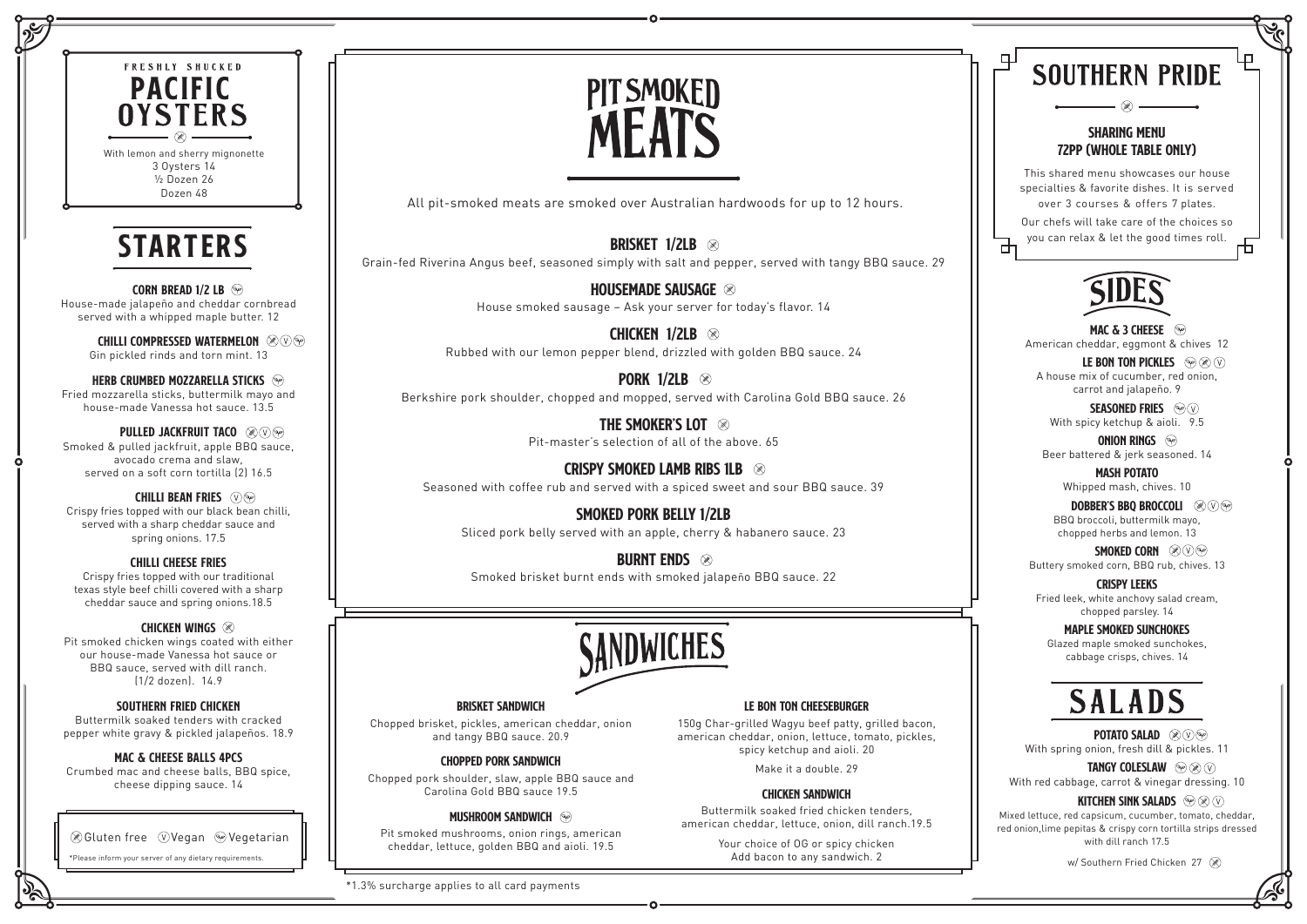BRISKET 1/2LB Grain-fed Riverina Angus beef, seasoned simply with salt and pepper, served with tangy BBQ sauce. 29

> HOUSEMADE SAUSAGE <sup>88</sup> House smoked sausage – Ask your server for today's flavor. 14

\*1.3% surcharge applies to all card payments

**PORK 1/2LB**  $\otimes$ Berkshire pork shoulder, chopped and mopped, served with Carolina Gold BBQ sauce. 26

> THE SMOKER'S LOT Pit-master's selection of all of the above. 65

**BURNT ENDS 88** Smoked brisket burnt ends with smoked jalapeño BBQ sauce. 22



Chicken 1/2lb Rubbed with our lemon pepper blend, drizzled with golden BBQ sauce. 24

Crispy Smoked Lamb Ribs 1LB Seasoned with coffee rub and served with a spiced sweet and sour BBQ sauce. 39

Smoked Pork Belly 1/2Lb Sliced pork belly served with an apple, cherry & habanero sauce. 23







All pit-smoked meats are smoked over Australian hardwoods for up to 12 hours.

## Brisket Sandwich

Chopped brisket, pickles, american cheddar, onion and tangy BBQ sauce. 20.9

# Chopped Pork Sandwich

Chopped pork shoulder, slaw, apple BBQ sauce and Carolina Gold BBQ sauce 19.5

### **MUSHROOM SANDWICH**

Pit smoked mushrooms, onion rings, american cheddar, lettuce, golden BBQ and aioli. 19.5

#### Le Bon Ton Cheeseburger

150g Char-grilled Wagyu beef patty, grilled bacon, american cheddar, onion, lettuce, tomato, pickles, spicy ketchup and aioli. 20

Make it a double. 29

#### CHICKEN SANDWICH

Buttermilk soaked fried chicken tenders, american cheddar, lettuce, onion, dill ranch.19.5

> Your choice of OG or spicy chicken Add bacon to any sandwich. 2